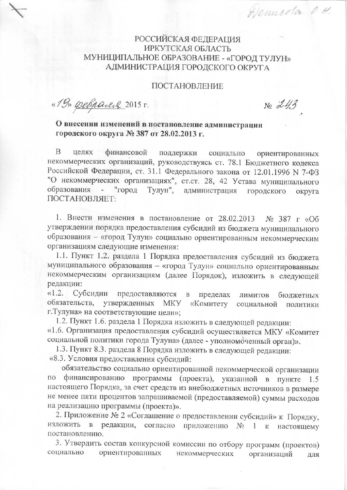## **РОССИЙСКАЯ ФЕДЕРАЦИЯ** ИРКУТСКАЯ ОБЛАСТЬ МУНИЦИПАЛЬНОЕ ОБРАЗОВАНИЕ - «ГОРОД ТУЛУН» АДМИНИСТРАЦИЯ ГОРОДСКОГО ОКРУГА

### ПОСТАНОВЛЕНИЕ

«19» perpair 2015 г.

 $Ne\ 243$ 

Henneola O.H.

# О внесении изменений в постановление администрации городского округа № 387 от 28.02.2013 г.

B целях финансовой поддержки социально ориентированных некоммерческих организаций, руководствуясь ст. 78.1 Бюджетного кодекса Российской Федерации, ст. 31.1 Федерального закона от 12.01.1996 N 7-ФЗ "О некоммерческих организациях", ст.ст. 28, 42 Устава муниципального образования Тулун", "город администрация городского округа ПОСТАНОВЛЯЕТ:

1. Внести изменения в постановление от 28.02.2013 № 387 г «Об утверждении порядка предоставления субсидий из бюджета муниципального образования - «город Тулун» социально ориентированным некоммерческим организациям следующие изменения:

1.1. Пункт 1.2. раздела 1 Порядка предоставления субсидий из бюджета муниципального образования - «город Тулун» социально ориентированным некоммерческим организациям (далее Порядок), изложить в следующей редакции:

 $\langle 1.2.$ Субсидии предоставляются пределах  $\, {\bf B}$ ЛИМИТОВ бюджетных обязательств, утвержденных МКУ «Комитету социальной политики г. Тулуна» на соответствующие цели»:

1.2. Пункт 1.6. раздела 1 Порядка изложить в следующей редакции: «1.6. Организация предоставления субсидий осуществляется МКУ «Комитет социальной политики города Тулуна» (далее - уполномоченный орган)».

1.3. Пункт 8.3. раздела 8 Порядка изложить в следующей редакции:

«8.3. Условия предоставления субсидий:

обязательство социально ориентированной некоммерческой организации по финансированию программы (проекта), указанной в пункте 1.5 настоящего Порядка, за счет средств из внебюджетных источников в размере не менее пяти процентов запрашиваемой (предоставляемой) суммы расходов на реализацию программы (проекта)».

2. Приложение № 2 «Соглашение о предоставлении субсидий» к Порядку, редакции, согласно приложению № 1 к изложить в настоящему постановлению.

3. Утвердить состав конкурсной комиссии по отбору программ (проектов) социально ориентированных некоммерческих организаций ДЛЯ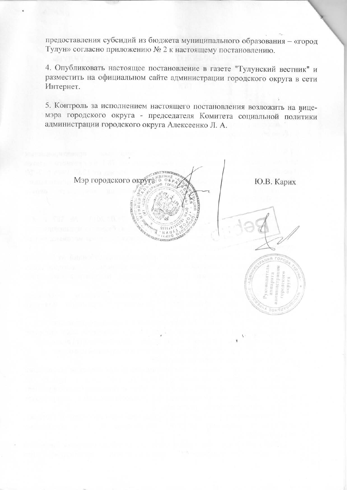предоставления субсидий из бюджета муниципального образования - «город Тулун» согласно приложению № 2 к настоящему постановлению.

4. Опубликовать настоящее постановление в газете "Тулунский вестник" и разместить на официальном сайте администрации городского округа в сети Интернет.

5. Контроль за исполнением настоящего постановления возложить на вицемэра городского округа - председателя Комитета социальной политики администрации городского округа Алексеенко Л. А.

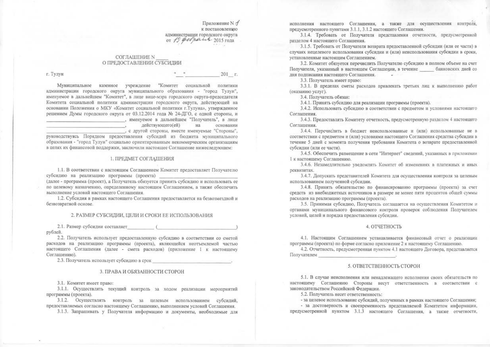Приложение N .7 к постановлению администрации городского округа OT 19 perpairs 2015 года

#### **СОГЛАШЕНИЕ N** О ПРЕДОСТАВЛЕНИИ СУБСИДИИ

г. Тулун

201 г.

Муниципальное казенное учреждение "Комитет социальной политики администрации городского округа муниципального образования - "город Тулун", именуемое в дальнейшем "Комитет", в лице вице-мэра городского округа-председателя Комитета социальной политики администрации городского округа, действующей на основании Положения о МКУ «Комитет социальной политики г.Тулуна», утвержденное решением Думы городского округа от 03.12.2014 года № 24-ДГО, с одной стороны, и , именуемое в дальнейшем "Получатель", в лице действующего(ей) на основании

, с другой стороны, вместе именуемые "Стороны",

руководствуясь Порядком предоставления субсидий из бюджета муниципального образования - "город Тулун" социально ориентированным некоммерческим организациям в целях их финансовой поддержки, заключили настоящее Соглашение нижеследующем:

#### 1. ПРЕДМЕТ СОГЛАШЕНИЯ

1.1. В соответствии с настоящим Соглашением Комитет предоставляет Получателю субсидию на реализацию программы (проекта)

(далее - программа (проект), а Получатель обязуется принять субсидию и использовать ее по целевому назначению, определенному настоящим Соглашением, а также обеспечить выполнение условий настоящего Соглашения.

1.2. Субсидия в рамках настоящего Соглашения предоставляется на безвозмездной и безвозвратной основе.

#### 2. РАЗМЕР СУБСИДИИ. ЦЕЛИ И СРОКИ ЕЕ ИСПОЛЬЗОВАНИЯ

2.1. Размер субсидии составляет ( рублей.

2.2. Получатель использует предоставленную субсидию в соответствии со сметой расходов на реализацию программы (проекта), являющейся неотъемлемой частью настоящего Соглашения (далее - смета расходов) (приложение 1 к настоящему Соглашению).

2.3. Получатель использует субсидию в срок

#### 3. ПРАВА И ОБЯЗАННОСТИ СТОРОН

3.1. Комитет имеет право:

3.1.1. Осуществлять текущий контроль за ходом реализации мероприятий программы (проекта).

3.1.2. Осуществлять контроль за целевым использованием субсидий, предоставляемых согласно настоящему Соглашению, выполнением условий Соглашения.

3.1.3. Запрашивать у Получателя информацию и документы, необходимые для

исполнения настоящего Соглашения, а также для осуществления контроля, предусмотренного пунктами 3.1.1, 3.1.2 настоящего Соглашения.

3.1.4. Требовать от Получателя представления отчетности, предусмотренной разделом 4 настоящего Соглашения.

3.1.5. Требовать от Получателя возврата предоставленной субсидии (или ее части) в случаях нецелевого использования субсидии и (или) неиспользования субсидии в сроки, установленные настоящим Соглашением.

3.2. Комитет обязуется перечислить Получателю субсидию в полном объеме на счет Получателя, указанный в настоящем Соглашении, в течение банковских дней со лня полписания настоящего Соглашения.

3.3. Получатель имеет право:

3.3.1. В пределах сметы расходов привлекать третьих лиц к выполнению работ (оказанию услуг).

3.4. Получатель обязан:

3.4.1. Принять субсидию для реализации программы (проекта).

3.4.2. Использовать субсидию в соответствии с предметом и условиями настоящего Соглашения.

3.4.3. Предоставлять Комитету отчетность, предусмотренную разделом 4 настоящего Соглашения.

3.4.4. Перечислить в бюджет неиспользованные и (или) использованные не в соответствии с предметом и (или) условиями настоящего Соглашения средства субсидии в течение 5 лней с момента получения требования Комитета о возврате предоставленной субсилии (или ее части).

3.4.5. Обеспечить размещение в сети "Интернет" сведений, указанных в приложении 1 к настоящему Соглашению.

3.4.6. Незамедлительно уведомлять Комитет об изменениях в платежных и иных реквизитах.

3.4.7. Допускать представителей Комитета для осуществления контроля за целевым использованием полученной субсидии.

3.4.8. Принять обязательство по финансированию программы (проекта) за счет средств из внебюджетных источников в размере не менее пяти процентов общей суммы расходов на реализацию программы (проекта).

3.5. Принимая субсидию, Получатель соглашается на осуществления Комитетом и органами муниципального финансового контроля проверок соблюдения Получателем условий, целей и порядка предоставления субсидии.

#### 4. ОТЧЕТНОСТЬ

4.1. Настоящим Соглашением устанавливается финансовый отчет о реализации программы (проекта) по форме согласно приложение 2 к настоящему Соглашению.

4.2. Отчетность, предусмотренная пунктом 4.1 настоящего Договора, представляется Получателем

#### 5. ОТВЕТСТВЕННОСТЬ СТОРОН

5.1. В случае неисполнения или ненадлежащего исполнения своих обязательств по настоящему Соглашению Стороны несут ответственность в соответствии с законодательством Российской Федерации.

5.2. Получатель несет ответственность:

- за целевое использование субсидий, полученных в рамках настоящего Соглашения;

- за достоверность и своевременность представляемой Комитетом информации, предусмотренной пунктом 3.1.3 настоящего Соглашения, а также отчетности,